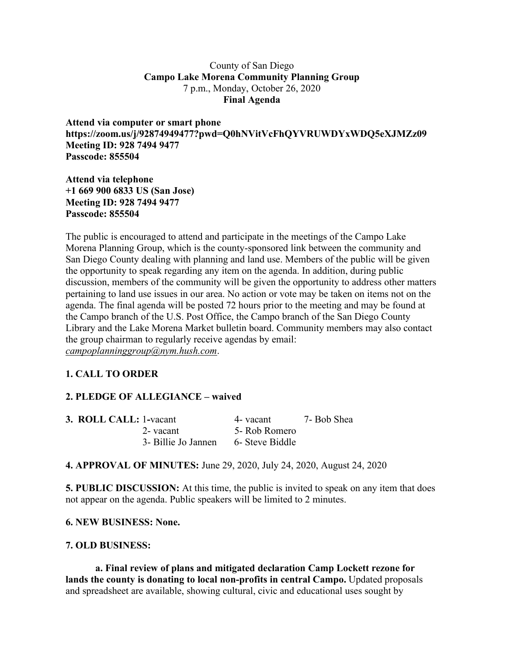### County of San Diego **Campo Lake Morena Community Planning Group** 7 p.m., Monday, October 26, 2020 **Final Agenda**

**Attend via computer or smart phone https://zoom.us/j/92874949477?pwd=Q0hNVitVcFhQYVRUWDYxWDQ5eXJMZz09 Meeting ID: 928 7494 9477 Passcode: 855504**

**Attend via telephone +1 669 900 6833 US (San Jose) Meeting ID: 928 7494 9477 Passcode: 855504**

The public is encouraged to attend and participate in the meetings of the Campo Lake Morena Planning Group, which is the county-sponsored link between the community and San Diego County dealing with planning and land use. Members of the public will be given the opportunity to speak regarding any item on the agenda. In addition, during public discussion, members of the community will be given the opportunity to address other matters pertaining to land use issues in our area. No action or vote may be taken on items not on the agenda. The final agenda will be posted 72 hours prior to the meeting and may be found at the Campo branch of the U.S. Post Office, the Campo branch of the San Diego County Library and the Lake Morena Market bulletin board. Community members may also contact the group chairman to regularly receive agendas by email: *campoplanninggroup@nym.hush.com*.

# **1. CALL TO ORDER**

# **2. PLEDGE OF ALLEGIANCE – waived**

| <b>3. ROLL CALL: 1-vacant</b> |                     | 4- vacant       | 7- Bob Shea |
|-------------------------------|---------------------|-----------------|-------------|
|                               | 2- vacant           | 5- Rob Romero   |             |
|                               | 3- Billie Jo Jannen | 6- Steve Biddle |             |

**4. APPROVAL OF MINUTES:** June 29, 2020, July 24, 2020, August 24, 2020

**5. PUBLIC DISCUSSION:** At this time, the public is invited to speak on any item that does not appear on the agenda. Public speakers will be limited to 2 minutes.

#### **6. NEW BUSINESS: None.**

### **7. OLD BUSINESS:**

**a. Final review of plans and mitigated declaration Camp Lockett rezone for lands the county is donating to local non-profits in central Campo.** Updated proposals and spreadsheet are available, showing cultural, civic and educational uses sought by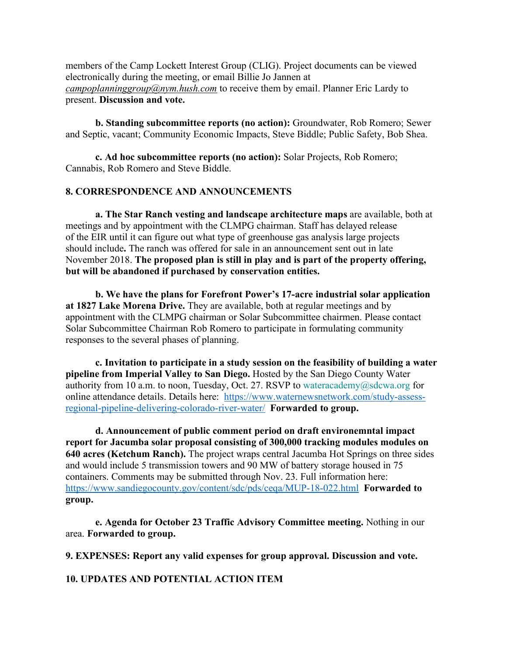members of the Camp Lockett Interest Group (CLIG). Project documents can be viewed electronically during the meeting, or email Billie Jo Jannen at *campoplanninggroup*@nym.hush.com to receive them by email. Planner Eric Lardy to present. **Discussion and vote.**

**b. Standing subcommittee reports (no action):** Groundwater, Rob Romero; Sewer and Septic, vacant; Community Economic Impacts, Steve Biddle; Public Safety, Bob Shea.

**c. Ad hoc subcommittee reports (no action):** Solar Projects, Rob Romero; Cannabis, Rob Romero and Steve Biddle.

# **8. CORRESPONDENCE AND ANNOUNCEMENTS**

**a. The Star Ranch vesting and landscape architecture maps** are available, both at meetings and by appointment with the CLMPG chairman. Staff has delayed release of the EIR until it can figure out what type of greenhouse gas analysis large projects should include**.** The ranch was offered for sale in an announcement sent out in late November 2018. **The proposed plan is still in play and is part of the property offering, but will be abandoned if purchased by conservation entities.**

**b. We have the plans for Forefront Power's 17-acre industrial solar application at 1827 Lake Morena Drive.** They are available, both at regular meetings and by appointment with the CLMPG chairman or Solar Subcommittee chairmen. Please contact Solar Subcommittee Chairman Rob Romero to participate in formulating community responses to the several phases of planning.

**c. Invitation to participate in a study session on the feasibility of building a water pipeline from Imperial Valley to San Diego.** Hosted by the San Diego County Water authority from 10 a.m. to noon, Tuesday, Oct. 27. RSVP to wateracademy@sdcwa.org for online attendance details. Details here: https://www.waternewsnetwork.com/study-assessregional-pipeline-delivering-colorado-river-water/ **Forwarded to group.**

**d. Announcement of public comment period on draft environemntal impact report for Jacumba solar proposal consisting of 300,000 tracking modules modules on 640 acres (Ketchum Ranch).** The project wraps central Jacumba Hot Springs on three sides and would include 5 transmission towers and 90 MW of battery storage housed in 75 containers. Comments may be submitted through Nov. 23. Full information here: https://www.sandiegocounty.gov/content/sdc/pds/ceqa/MUP-18-022.html **Forwarded to group.**

**e. Agenda for October 23 Traffic Advisory Committee meeting.** Nothing in our area. **Forwarded to group.**

**9. EXPENSES: Report any valid expenses for group approval. Discussion and vote.**

**10. UPDATES AND POTENTIAL ACTION ITEM**